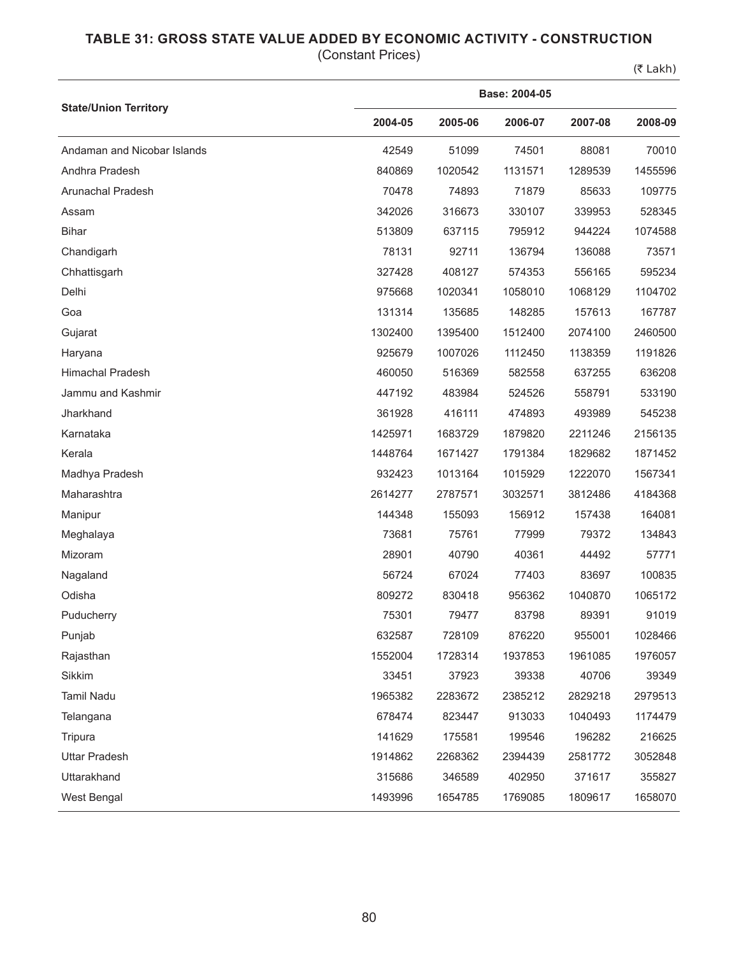## **TABLE 31: GROSS STATE VALUE ADDED BY ECONOMIC ACTIVITY - CONSTRUCTION**

(Constant Prices)

 $(5$  Lakh)

|                              | Base: 2004-05 |         |         |         |         |  |  |  |
|------------------------------|---------------|---------|---------|---------|---------|--|--|--|
| <b>State/Union Territory</b> | 2004-05       | 2005-06 | 2006-07 | 2007-08 | 2008-09 |  |  |  |
| Andaman and Nicobar Islands  | 42549         | 51099   | 74501   | 88081   | 70010   |  |  |  |
| Andhra Pradesh               | 840869        | 1020542 | 1131571 | 1289539 | 1455596 |  |  |  |
| Arunachal Pradesh            | 70478         | 74893   | 71879   | 85633   | 109775  |  |  |  |
| Assam                        | 342026        | 316673  | 330107  | 339953  | 528345  |  |  |  |
| <b>Bihar</b>                 | 513809        | 637115  | 795912  | 944224  | 1074588 |  |  |  |
| Chandigarh                   | 78131         | 92711   | 136794  | 136088  | 73571   |  |  |  |
| Chhattisgarh                 | 327428        | 408127  | 574353  | 556165  | 595234  |  |  |  |
| Delhi                        | 975668        | 1020341 | 1058010 | 1068129 | 1104702 |  |  |  |
| Goa                          | 131314        | 135685  | 148285  | 157613  | 167787  |  |  |  |
| Gujarat                      | 1302400       | 1395400 | 1512400 | 2074100 | 2460500 |  |  |  |
| Haryana                      | 925679        | 1007026 | 1112450 | 1138359 | 1191826 |  |  |  |
| <b>Himachal Pradesh</b>      | 460050        | 516369  | 582558  | 637255  | 636208  |  |  |  |
| Jammu and Kashmir            | 447192        | 483984  | 524526  | 558791  | 533190  |  |  |  |
| Jharkhand                    | 361928        | 416111  | 474893  | 493989  | 545238  |  |  |  |
| Karnataka                    | 1425971       | 1683729 | 1879820 | 2211246 | 2156135 |  |  |  |
| Kerala                       | 1448764       | 1671427 | 1791384 | 1829682 | 1871452 |  |  |  |
| Madhya Pradesh               | 932423        | 1013164 | 1015929 | 1222070 | 1567341 |  |  |  |
| Maharashtra                  | 2614277       | 2787571 | 3032571 | 3812486 | 4184368 |  |  |  |
| Manipur                      | 144348        | 155093  | 156912  | 157438  | 164081  |  |  |  |
| Meghalaya                    | 73681         | 75761   | 77999   | 79372   | 134843  |  |  |  |
| Mizoram                      | 28901         | 40790   | 40361   | 44492   | 57771   |  |  |  |
| Nagaland                     | 56724         | 67024   | 77403   | 83697   | 100835  |  |  |  |
| Odisha                       | 809272        | 830418  | 956362  | 1040870 | 1065172 |  |  |  |
| Puducherry                   | 75301         | 79477   | 83798   | 89391   | 91019   |  |  |  |
| Punjab                       | 632587        | 728109  | 876220  | 955001  | 1028466 |  |  |  |
| Rajasthan                    | 1552004       | 1728314 | 1937853 | 1961085 | 1976057 |  |  |  |
| Sikkim                       | 33451         | 37923   | 39338   | 40706   | 39349   |  |  |  |
| Tamil Nadu                   | 1965382       | 2283672 | 2385212 | 2829218 | 2979513 |  |  |  |
| Telangana                    | 678474        | 823447  | 913033  | 1040493 | 1174479 |  |  |  |
| Tripura                      | 141629        | 175581  | 199546  | 196282  | 216625  |  |  |  |
| <b>Uttar Pradesh</b>         | 1914862       | 2268362 | 2394439 | 2581772 | 3052848 |  |  |  |
| Uttarakhand                  | 315686        | 346589  | 402950  | 371617  | 355827  |  |  |  |
| West Bengal                  | 1493996       | 1654785 | 1769085 | 1809617 | 1658070 |  |  |  |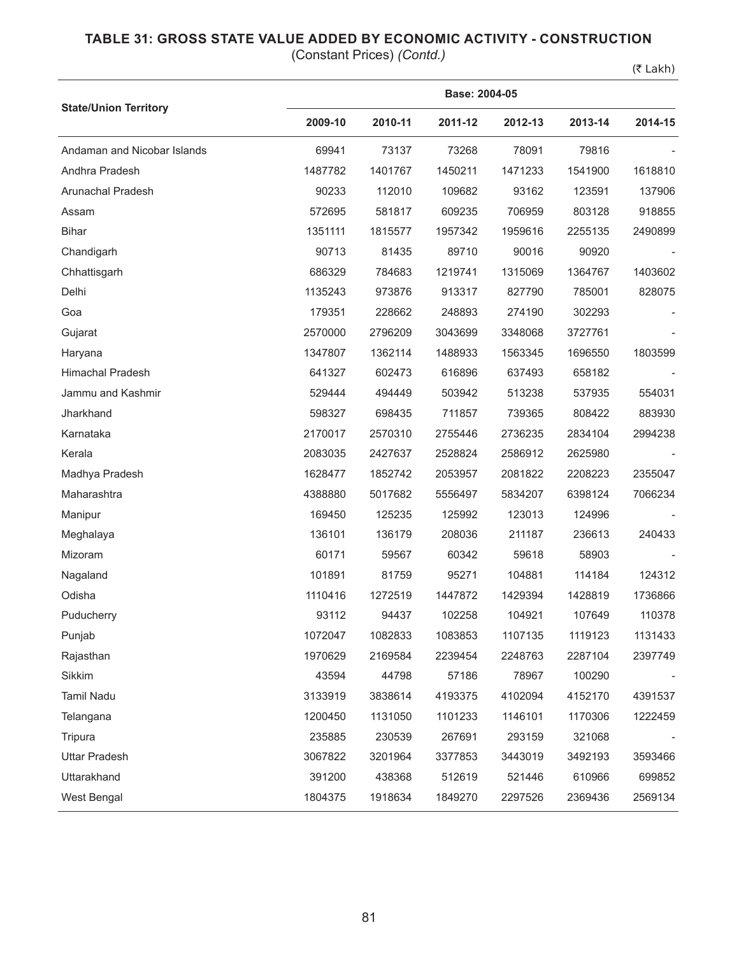## **TABLE 31: GROSS STATE VALUE ADDED BY ECONOMIC ACTIVITY - CONSTRUCTION**

(Constant Prices) *(Contd.)*

(₹ Lakh)

|                              | Base: 2004-05 |         |         |         |         |         |  |  |
|------------------------------|---------------|---------|---------|---------|---------|---------|--|--|
| <b>State/Union Territory</b> | 2009-10       | 2010-11 | 2011-12 | 2012-13 | 2013-14 | 2014-15 |  |  |
| Andaman and Nicobar Islands  | 69941         | 73137   | 73268   | 78091   | 79816   |         |  |  |
| Andhra Pradesh               | 1487782       | 1401767 | 1450211 | 1471233 | 1541900 | 1618810 |  |  |
| Arunachal Pradesh            | 90233         | 112010  | 109682  | 93162   | 123591  | 137906  |  |  |
| Assam                        | 572695        | 581817  | 609235  | 706959  | 803128  | 918855  |  |  |
| <b>Bihar</b>                 | 1351111       | 1815577 | 1957342 | 1959616 | 2255135 | 2490899 |  |  |
| Chandigarh                   | 90713         | 81435   | 89710   | 90016   | 90920   |         |  |  |
| Chhattisgarh                 | 686329        | 784683  | 1219741 | 1315069 | 1364767 | 1403602 |  |  |
| Delhi                        | 1135243       | 973876  | 913317  | 827790  | 785001  | 828075  |  |  |
| Goa                          | 179351        | 228662  | 248893  | 274190  | 302293  |         |  |  |
| Gujarat                      | 2570000       | 2796209 | 3043699 | 3348068 | 3727761 |         |  |  |
| Haryana                      | 1347807       | 1362114 | 1488933 | 1563345 | 1696550 | 1803599 |  |  |
| Himachal Pradesh             | 641327        | 602473  | 616896  | 637493  | 658182  |         |  |  |
| Jammu and Kashmir            | 529444        | 494449  | 503942  | 513238  | 537935  | 554031  |  |  |
| Jharkhand                    | 598327        | 698435  | 711857  | 739365  | 808422  | 883930  |  |  |
| Karnataka                    | 2170017       | 2570310 | 2755446 | 2736235 | 2834104 | 2994238 |  |  |
| Kerala                       | 2083035       | 2427637 | 2528824 | 2586912 | 2625980 |         |  |  |
| Madhya Pradesh               | 1628477       | 1852742 | 2053957 | 2081822 | 2208223 | 2355047 |  |  |
| Maharashtra                  | 4388880       | 5017682 | 5556497 | 5834207 | 6398124 | 7066234 |  |  |
| Manipur                      | 169450        | 125235  | 125992  | 123013  | 124996  |         |  |  |
| Meghalaya                    | 136101        | 136179  | 208036  | 211187  | 236613  | 240433  |  |  |
| Mizoram                      | 60171         | 59567   | 60342   | 59618   | 58903   |         |  |  |
| Nagaland                     | 101891        | 81759   | 95271   | 104881  | 114184  | 124312  |  |  |
| Odisha                       | 1110416       | 1272519 | 1447872 | 1429394 | 1428819 | 1736866 |  |  |
| Puducherry                   | 93112         | 94437   | 102258  | 104921  | 107649  | 110378  |  |  |
| Punjab                       | 1072047       | 1082833 | 1083853 | 1107135 | 1119123 | 1131433 |  |  |
| Rajasthan                    | 1970629       | 2169584 | 2239454 | 2248763 | 2287104 | 2397749 |  |  |
| Sikkim                       | 43594         | 44798   | 57186   | 78967   | 100290  |         |  |  |
| Tamil Nadu                   | 3133919       | 3838614 | 4193375 | 4102094 | 4152170 | 4391537 |  |  |
| Telangana                    | 1200450       | 1131050 | 1101233 | 1146101 | 1170306 | 1222459 |  |  |
| Tripura                      | 235885        | 230539  | 267691  | 293159  | 321068  |         |  |  |
| <b>Uttar Pradesh</b>         | 3067822       | 3201964 | 3377853 | 3443019 | 3492193 | 3593466 |  |  |
| Uttarakhand                  | 391200        | 438368  | 512619  | 521446  | 610966  | 699852  |  |  |
| West Bengal                  | 1804375       | 1918634 | 1849270 | 2297526 | 2369436 | 2569134 |  |  |